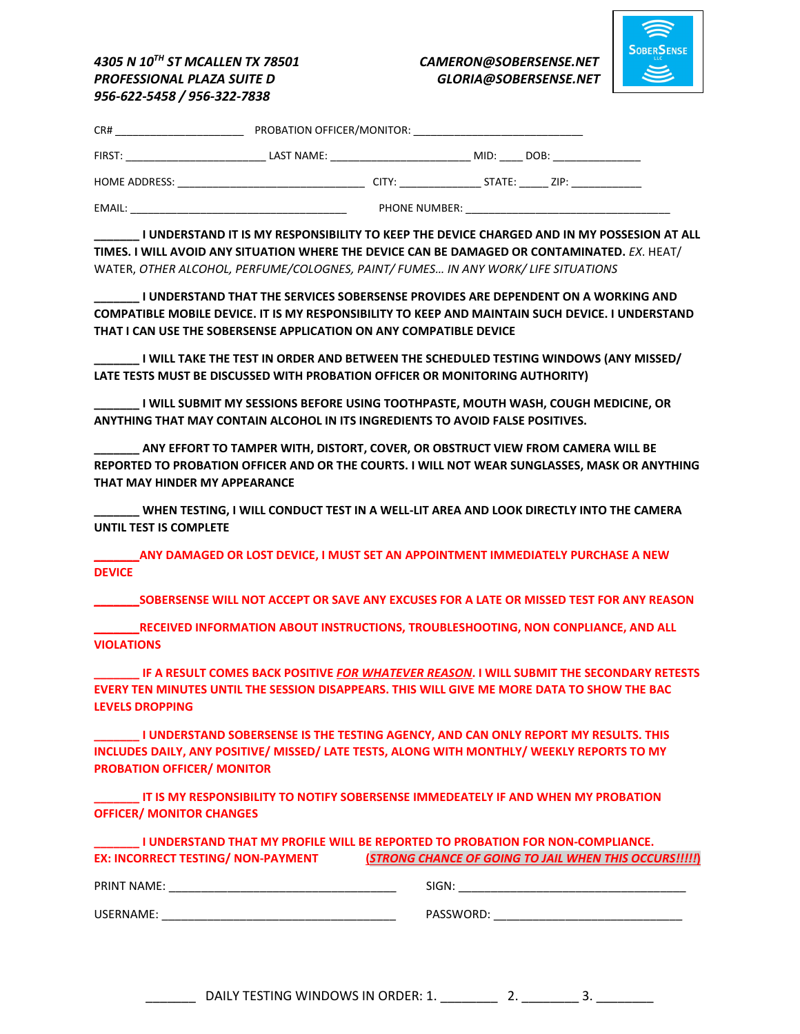

## *4305 N 10TH ST MCALLEN TX 78501 CAMERON@SOBERSENSE.NET PROFESSIONAL PLAZA SUITE D GLORIA@SOBERSENSE.NET 956-622-5458 / 956-322-7838*

| CR#           | PROBATION OFFICER/MONITOR: |               |              |      |
|---------------|----------------------------|---------------|--------------|------|
| FIRST:        | LAST NAME:                 |               | MID:<br>DOB: |      |
| HOME ADDRESS: |                            | CITY:         | STATE:       | ZIP: |
| EMAIL:        |                            | PHONE NUMBER: |              |      |

**\_\_\_\_\_\_\_ I UNDERSTAND IT IS MY RESPONSIBILITY TO KEEP THE DEVICE CHARGED AND IN MY POSSESION AT ALL TIMES. I WILL AVOID ANY SITUATION WHERE THE DEVICE CAN BE DAMAGED OR CONTAMINATED.** *EX*. HEAT/ WATER, *OTHER ALCOHOL, PERFUME/COLOGNES, PAINT/ FUMES… IN ANY WORK/ LIFE SITUATIONS*

**I UNDERSTAND THAT THE SERVICES SOBERSENSE PROVIDES ARE DEPENDENT ON A WORKING AND COMPATIBLE MOBILE DEVICE. IT IS MY RESPONSIBILITY TO KEEP AND MAINTAIN SUCH DEVICE. I UNDERSTAND THAT I CAN USE THE SOBERSENSE APPLICATION ON ANY COMPATIBLE DEVICE**

**\_\_\_\_\_\_\_ I WILL TAKE THE TEST IN ORDER AND BETWEEN THE SCHEDULED TESTING WINDOWS (ANY MISSED/ LATE TESTS MUST BE DISCUSSED WITH PROBATION OFFICER OR MONITORING AUTHORITY)** 

**\_\_\_\_\_\_\_ I WILL SUBMIT MY SESSIONS BEFORE USING TOOTHPASTE, MOUTH WASH, COUGH MEDICINE, OR ANYTHING THAT MAY CONTAIN ALCOHOL IN ITS INGREDIENTS TO AVOID FALSE POSITIVES.**

**\_\_\_\_\_\_\_ ANY EFFORT TO TAMPER WITH, DISTORT, COVER, OR OBSTRUCT VIEW FROM CAMERA WILL BE REPORTED TO PROBATION OFFICER AND OR THE COURTS. I WILL NOT WEAR SUNGLASSES, MASK OR ANYTHING THAT MAY HINDER MY APPEARANCE**

**\_\_\_\_\_\_\_ WHEN TESTING, I WILL CONDUCT TEST IN A WELL-LIT AREA AND LOOK DIRECTLY INTO THE CAMERA UNTIL TEST IS COMPLETE**

**\_\_\_\_\_\_\_ANY DAMAGED OR LOST DEVICE, I MUST SET AN APPOINTMENT IMMEDIATELY PURCHASE A NEW DEVICE** 

**\_\_\_\_\_\_\_SOBERSENSE WILL NOT ACCEPT OR SAVE ANY EXCUSES FOR A LATE OR MISSED TEST FOR ANY REASON**

**\_\_\_\_\_\_\_RECEIVED INFORMATION ABOUT INSTRUCTIONS, TROUBLESHOOTING, NON CONPLIANCE, AND ALL VIOLATIONS**

**\_\_\_\_\_\_\_ IF A RESULT COMES BACK POSITIVE** *FOR WHATEVER REASON***. I WILL SUBMIT THE SECONDARY RETESTS EVERY TEN MINUTES UNTIL THE SESSION DISAPPEARS. THIS WILL GIVE ME MORE DATA TO SHOW THE BAC LEVELS DROPPING**

**\_\_\_\_\_\_\_ I UNDERSTAND SOBERSENSE IS THE TESTING AGENCY, AND CAN ONLY REPORT MY RESULTS. THIS INCLUDES DAILY, ANY POSITIVE/ MISSED/ LATE TESTS, ALONG WITH MONTHLY/ WEEKLY REPORTS TO MY PROBATION OFFICER/ MONITOR**

**\_\_\_\_\_\_\_ IT IS MY RESPONSIBILITY TO NOTIFY SOBERSENSE IMMEDEATELY IF AND WHEN MY PROBATION OFFICER/ MONITOR CHANGES**

| <b>I UNDERSTAND THAT MY PROFILE WILL BE REPORTED TO PROBATION FOR NON-COMPLIANCE.</b> |                                                               |  |  |  |  |
|---------------------------------------------------------------------------------------|---------------------------------------------------------------|--|--|--|--|
| <b>EX: INCORRECT TESTING/ NON-PAYMENT</b>                                             | <b>(STRONG CHANCE OF GOING TO JAIL WHEN THIS OCCURS!!!!!)</b> |  |  |  |  |

PRINT NAME: \_\_\_\_\_\_\_\_\_\_\_\_\_\_\_\_\_\_\_\_\_\_\_\_\_\_\_\_\_\_\_\_\_\_\_ SIGN: \_\_\_\_\_\_\_\_\_\_\_\_\_\_\_\_\_\_\_\_\_\_\_\_\_\_\_\_\_\_\_\_\_\_\_

USERNAME: \_\_\_\_\_\_\_\_\_\_\_\_\_\_\_\_\_\_\_\_\_\_\_\_\_\_\_\_\_\_\_\_\_\_\_\_ PASSWORD: \_\_\_\_\_\_\_\_\_\_\_\_\_\_\_\_\_\_\_\_\_\_\_\_\_\_\_\_\_

\_\_\_\_\_\_\_ DAILY TESTING WINDOWS IN ORDER: 1. \_\_\_\_\_\_\_\_ 2. \_\_\_\_\_\_\_\_ 3. \_\_\_\_\_\_\_\_